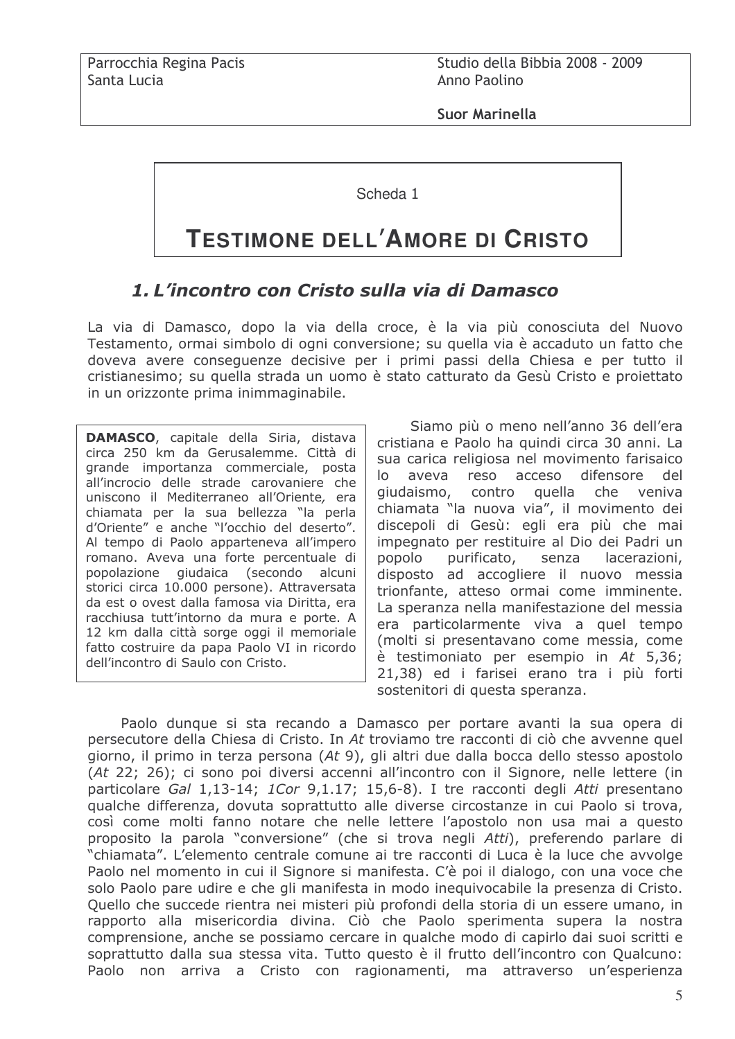Studio della Bibbia 2008 - 2009 Anno Paolino

Suor Marinella

Scheda 1

# **TESTIMONE DELL'AMORE DI CRISTO**

### 1. L'incontro con Cristo sulla via di Damasco

La via di Damasco, dopo la via della croce, è la via più conosciuta del Nuovo Testamento, ormai simbolo di ogni conversione; su quella via è accaduto un fatto che doveva avere consequenze decisive per i primi passi della Chiesa e per tutto il cristianesimo; su quella strada un uomo è stato catturato da Gesù Cristo e proiettato in un orizzonte prima inimmaginabile.

DAMASCO, capitale della Siria, distava circa 250 km da Gerusalemme. Città di grande importanza commerciale, posta all'incrocio delle strade carovaniere che uniscono il Mediterraneo all'Oriente, era chiamata per la sua bellezza "la perla d'Oriente" e anche "l'occhio del deserto". Al tempo di Paolo apparteneva all'impero romano. Aveva una forte percentuale di popolazione giudaica (secondo alcuni storici circa 10.000 persone). Attraversata da est o ovest dalla famosa via Diritta, era racchiusa tutt'intorno da mura e porte. A 12 km dalla città sorge oggi il memoriale fatto costruire da papa Paolo VI in ricordo dell'incontro di Saulo con Cristo.

Siamo più o meno nell'anno 36 dell'era cristiana e Paolo ha quindi circa 30 anni. La sua carica religiosa nel movimento farisaico aveva reso acceso difensore  $\overline{a}$ del giudaismo, contro quella che veniva chiamata "la nuova via", il movimento dei discepoli di Gesù: egli era più che mai impegnato per restituire al Dio dei Padri un popolo purificato, senza lacerazioni, disposto ad accogliere il nuovo messia trionfante, atteso ormai come imminente. La speranza nella manifestazione del messia era particolarmente viva a quel tempo (molti si presentavano come messia, come è testimoniato per esempio in At 5,36; 21,38) ed i farisei erano tra i più forti sostenitori di questa speranza.

Paolo dunque si sta recando a Damasco per portare avanti la sua opera di persecutore della Chiesa di Cristo. In At troviamo tre racconti di ciò che avvenne quel giorno, il primo in terza persona (At 9), gli altri due dalla bocca dello stesso apostolo (At 22; 26); ci sono poi diversi accenni all'incontro con il Signore, nelle lettere (in particolare Gal 1,13-14; 1Cor 9,1.17; 15,6-8). I tre racconti degli Atti presentano qualche differenza, dovuta soprattutto alle diverse circostanze in cui Paolo si trova, così come molti fanno notare che nelle lettere l'apostolo non usa mai a questo proposito la parola "conversione" (che si trova negli Atti), preferendo parlare di "chiamata". L'elemento centrale comune ai tre racconti di Luca è la luce che avvolge Paolo nel momento in cui il Signore si manifesta. C'è poi il dialogo, con una voce che solo Paolo pare udire e che gli manifesta in modo ineguivocabile la presenza di Cristo. Quello che succede rientra nei misteri più profondi della storia di un essere umano, in rapporto alla misericordia divina. Ciò che Paolo sperimenta supera la nostra comprensione, anche se possiamo cercare in qualche modo di capirlo dai suoi scritti e soprattutto dalla sua stessa vita. Tutto questo è il frutto dell'incontro con Qualcuno: Paolo non arriva a Cristo con ragionamenti, ma attraverso un'esperienza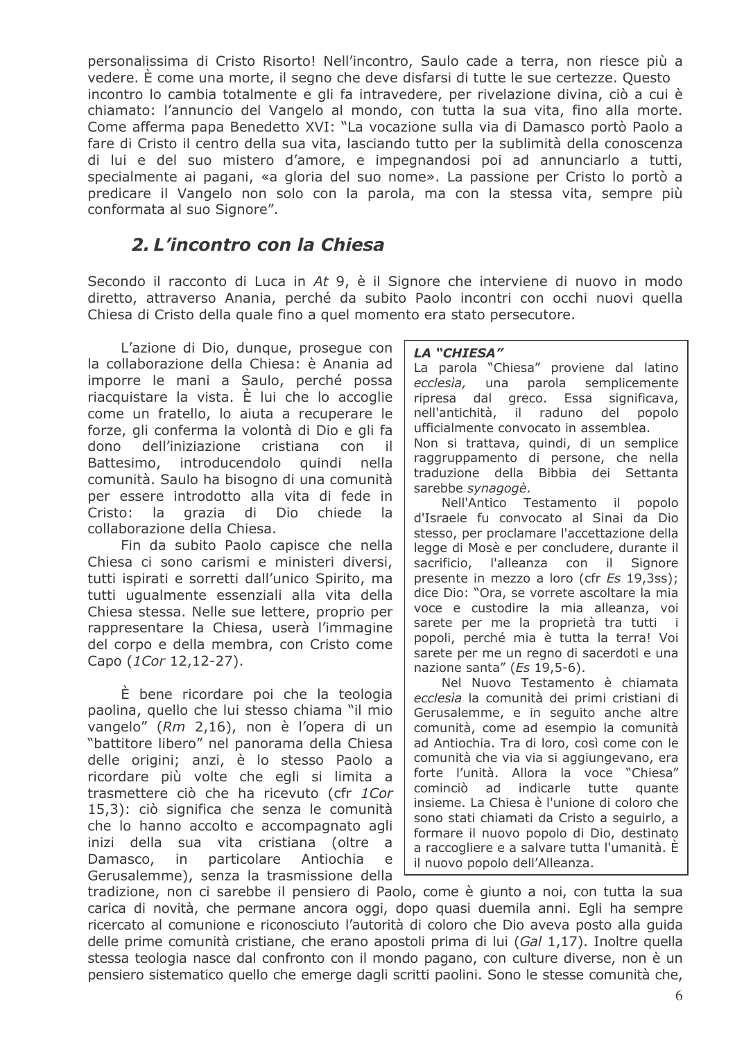personalissima di Cristo Risorto! Nell'incontro, Saulo cade a terra, non riesce più a vedere. È come una morte, il segno che deve disfarsi di tutte le sue certezze. Questo incontro lo cambia totalmente e gli fa intravedere, per rivelazione divina, ciò a cui è chiamato: l'annuncio del Vangelo al mondo, con tutta la sua vita, fino alla morte. Come afferma papa Benedetto XVI: "La vocazione sulla via di Damasco portò Paolo a fare di Cristo il centro della sua vita, lasciando tutto per la sublimità della conoscenza di lui e del suo mistero d'amore, e impegnandosi poi ad annunciarlo a tutti, specialmente ai pagani, «a gloria del suo nome». La passione per Cristo lo portò a predicare il Vangelo non solo con la parola, ma con la stessa vita, sempre più conformata al suo Signore".

# 2. L'incontro con la Chiesa

Secondo il racconto di Luca in At 9, è il Signore che interviene di nuovo in modo diretto, attraverso Anania, perché da subito Paolo incontri con occhi nuovi quella Chiesa di Cristo della quale fino a quel momento era stato persecutore.

L'azione di Dio, dunque, proseque con la collaborazione della Chiesa: è Anania ad imporre le mani a Saulo, perché possa riacquistare la vista. È lui che lo accoglie come un fratello, lo aiuta a recuperare le forze, gli conferma la volontà di Dio e gli fa dono dell'iniziazione cristiana con -il introducendolo Battesimo, quindi nella comunità. Saulo ha bisogno di una comunità per essere introdotto alla vita di fede in Cristo: la grazia di Dio chiede la collaborazione della Chiesa.

Fin da subito Paolo capisce che nella Chiesa ci sono carismi e ministeri diversi, tutti ispirati e sorretti dall'unico Spirito, ma tutti ugualmente essenziali alla vita della Chiesa stessa. Nelle sue lettere, proprio per rappresentare la Chiesa, userà l'immagine del corpo e della membra, con Cristo come Capo (1Cor 12,12-27).

È bene ricordare poi che la teologia paolina, quello che lui stesso chiama "il mio vangelo" (Rm 2,16), non è l'opera di un "battitore libero" nel panorama della Chiesa delle origini; anzi, è lo stesso Paolo a ricordare più volte che egli si limita a trasmettere ciò che ha ricevuto (cfr 1Cor 15.3): ciò significa che senza le comunità che lo hanno accolto e accompagnato agli inizi della sua vita cristiana (oltre a in particolare Antiochia Damasco. e Gerusalemme), senza la trasmissione della

#### LA "CHIESA"

La parola "Chiesa" proviene dal latino ecclesia, una parola semplicemente ripresa dal greco. Essa significava, nell'antichità, il raduno del popolo ufficialmente convocato in assemblea. Non si trattava, quindi, di un semplice raggruppamento di persone, che nella traduzione della Bibbia dei Settanta sarebbe synagogè.

Nell'Antico Testamento il popolo d'Israele fu convocato al Sinai da Dio stesso, per proclamare l'accettazione della legge di Mosè e per concludere, durante il sacrificio, l'alleanza con il Signore presente in mezzo a loro (cfr Es 19.3ss); dice Dio: "Ora, se vorrete ascoltare la mia voce e custodire la mia alleanza, voi sarete per me la proprietà tra tutti i popoli, perché mia è tutta la terra! Voi sarete per me un regno di sacerdoti e una nazione santa" (Es 19,5-6).

Nel Nuovo Testamento è chiamata ecclesia la comunità dei primi cristiani di Gerusalemme, e in seguito anche altre comunità, come ad esempio la comunità ad Antiochia. Tra di loro, così come con le comunità che via via si aggiungevano, era forte l'unità. Allora la voce "Chiesa" cominciò ad indicarle tutte quante insieme. La Chiesa è l'unione di coloro che sono stati chiamati da Cristo a seguirlo, a formare il nuovo popolo di Dio, destinato a raccogliere e a salvare tutta l'umanità. È il nuovo popolo dell'Alleanza.

tradizione, non ci sarebbe il pensiero di Paolo, come è giunto a noi, con tutta la sua carica di novità, che permane ancora oggi, dopo quasi duemila anni. Egli ha sempre ricercato al comunione e riconosciuto l'autorità di coloro che Dio aveva posto alla quida delle prime comunità cristiane, che erano apostoli prima di lui (Gal 1,17). Inoltre quella stessa teologia nasce dal confronto con il mondo pagano, con culture diverse, non è un pensiero sistematico quello che emerge dagli scritti paolini. Sono le stesse comunità che,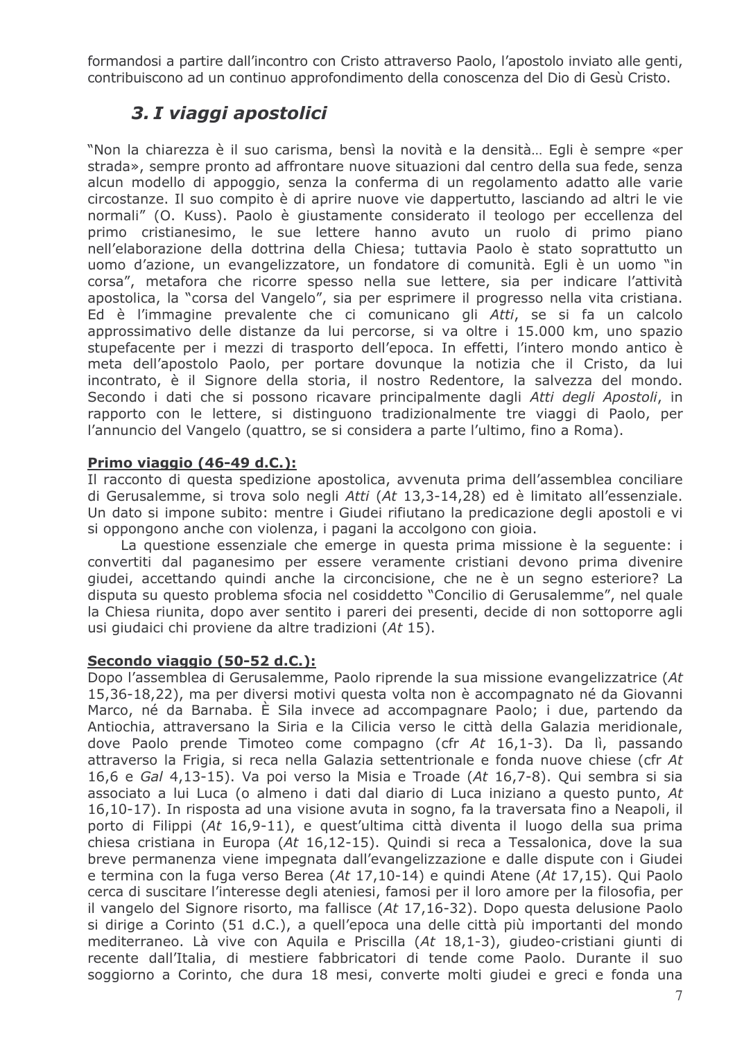formandosi a partire dall'incontro con Cristo attraverso Paolo, l'apostolo inviato alle genti, contribuiscono ad un continuo approfondimento della conoscenza del Dio di Gesù Cristo.

# 3. I viaggi apostolici

"Non la chiarezza è il suo carisma, bensì la novità e la densità... Egli è sempre «per strada», sempre pronto ad affrontare nuove situazioni dal centro della sua fede, senza alcun modello di appoggio, senza la conferma di un regolamento adatto alle varie circostanze. Il suo compito è di aprire nuove vie dappertutto, lasciando ad altri le vie normali" (O. Kuss). Paolo è giustamente considerato il teologo per eccellenza del primo cristianesimo, le sue lettere hanno avuto un ruolo di primo piano nell'elaborazione della dottrina della Chiesa; tuttavia Paolo è stato soprattutto un uomo d'azione, un evangelizzatore, un fondatore di comunità. Egli è un uomo "in corsa", metafora che ricorre spesso nella sue lettere, sia per indicare l'attività apostolica, la "corsa del Vangelo", sia per esprimere il progresso nella vita cristiana. Ed è l'immagine prevalente che ci comunicano gli Atti, se si fa un calcolo approssimativo delle distanze da lui percorse, si va oltre i 15.000 km, uno spazio stupefacente per i mezzi di trasporto dell'epoca. In effetti, l'intero mondo antico è meta dell'apostolo Paolo, per portare dovunque la notizia che il Cristo, da lui incontrato, è il Signore della storia, il nostro Redentore, la salvezza del mondo. Secondo i dati che si possono ricavare principalmente dagli Atti degli Apostoli, in rapporto con le lettere, si distinguono tradizionalmente tre viaggi di Paolo, per l'annuncio del Vangelo (quattro, se si considera a parte l'ultimo, fino a Roma).

#### Primo viaggio (46-49 d.C.):

Il racconto di questa spedizione apostolica, avvenuta prima dell'assemblea conciliare di Gerusalemme, si trova solo negli Atti (At 13,3-14,28) ed è limitato all'essenziale. Un dato si impone subito: mentre i Giudei rifiutano la predicazione degli apostoli e vi si oppongono anche con violenza, i pagani la accolgono con gioia.

La questione essenziale che emerge in questa prima missione è la seguente: i convertiti dal paganesimo per essere veramente cristiani devono prima divenire giudei, accettando quindi anche la circoncisione, che ne è un segno esteriore? La disputa su questo problema sfocia nel cosiddetto "Concilio di Gerusalemme", nel quale la Chiesa riunita, dopo aver sentito i pareri dei presenti, decide di non sottoporre agli usi giudaici chi proviene da altre tradizioni (At 15).

#### Secondo viaggio (50-52 d.C.):

Dopo l'assemblea di Gerusalemme, Paolo riprende la sua missione evangelizzatrice (At 15,36-18,22), ma per diversi motivi questa volta non è accompagnato né da Giovanni Marco, né da Barnaba. È Sila invece ad accompagnare Paolo; i due, partendo da Antiochia, attraversano la Siria e la Cilicia verso le città della Galazia meridionale, dove Paolo prende Timoteo come compagno (cfr At 16,1-3). Da lì, passando attraverso la Frigia, si reca nella Galazia settentrionale e fonda nuove chiese (cfr At 16,6 e Gal 4,13-15). Va poi verso la Misia e Troade (At 16,7-8). Qui sembra si sia associato a lui Luca (o almeno i dati dal diario di Luca iniziano a questo punto, At 16.10-17). In risposta ad una visione avuta in sogno, fa la traversata fino a Neapoli, il porto di Filippi (At 16,9-11), e quest'ultima città diventa il luogo della sua prima chiesa cristiana in Europa (At 16,12-15). Quindi si reca a Tessalonica, dove la sua breve permanenza viene impegnata dall'evangelizzazione e dalle dispute con i Giudei e termina con la fuga verso Berea (At 17,10-14) e guindi Atene (At 17,15), Qui Paolo cerca di suscitare l'interesse degli ateniesi, famosi per il loro amore per la filosofia, per il vangelo del Signore risorto, ma fallisce (At 17,16-32). Dopo questa delusione Paolo si dirige a Corinto (51 d.C.), a quell'epoca una delle città più importanti del mondo mediterraneo. Là vive con Aquila e Priscilla (At 18,1-3), giudeo-cristiani giunti di recente dall'Italia, di mestiere fabbricatori di tende come Paolo. Durante il suo soggiorno a Corinto, che dura 18 mesi, converte molti giudei e greci e fonda una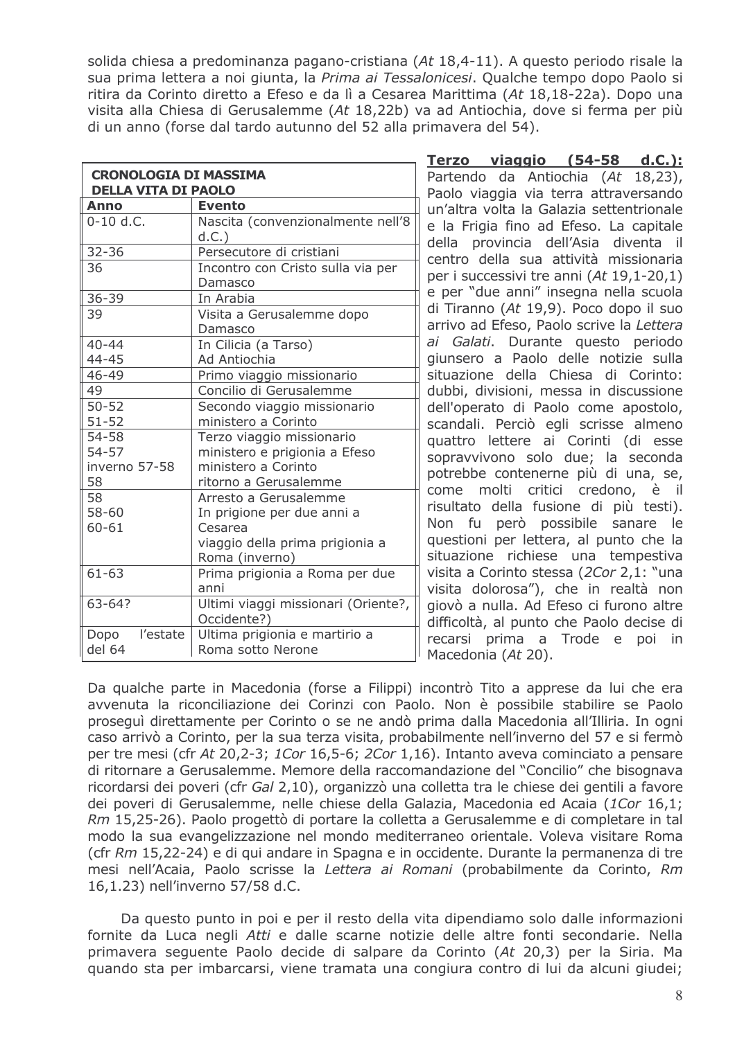solida chiesa a predominanza pagano-cristiana (At 18,4-11). A questo periodo risale la sua prima lettera a noi giunta, la Prima ai Tessalonicesi. Qualche tempo dopo Paolo si ritira da Corinto diretto a Efeso e da lì a Cesarea Marittima (At 18,18-22a). Dopo una visita alla Chiesa di Gerusalemme (At 18,22b) va ad Antiochia, dove si ferma per più di un anno (forse dal tardo autunno del 52 alla primavera del 54).

| <b>CRONOLOGIA DI MASSIMA</b><br><b>DELLA VITA DI PAOLO</b> |                                                                                                                     |
|------------------------------------------------------------|---------------------------------------------------------------------------------------------------------------------|
| <b>Anno</b>                                                | <b>Evento</b>                                                                                                       |
| $0-10$ d.C.                                                | Nascita (convenzionalmente nell'8<br>d.C.                                                                           |
| $32 - 36$                                                  | Persecutore di cristiani                                                                                            |
| 36                                                         | Incontro con Cristo sulla via per<br>Damasco                                                                        |
| $36 - 39$                                                  | In Arabia                                                                                                           |
| 39                                                         | Visita a Gerusalemme dopo<br>Damasco                                                                                |
| $40 - 44$<br>44-45                                         | In Cilicia (a Tarso)<br>Ad Antiochia                                                                                |
| 46-49                                                      | Primo viaggio missionario                                                                                           |
| 49                                                         | Concilio di Gerusalemme                                                                                             |
| $50 - 52$<br>$51 - 52$                                     | Secondo viaggio missionario<br>ministero a Corinto                                                                  |
| 54-58<br>$54 - 57$<br>inverno 57-58<br>58                  | Terzo viaggio missionario<br>ministero e prigionia a Efeso<br>ministero a Corinto<br>ritorno a Gerusalemme          |
| 58<br>58-60<br>60-61                                       | Arresto a Gerusalemme<br>In prigione per due anni a<br>Cesarea<br>viaggio della prima prigionia a<br>Roma (inverno) |
| $61 - 63$                                                  | Prima prigionia a Roma per due<br>anni                                                                              |
| 63-64?                                                     | Ultimi viaggi missionari (Oriente?,<br>Occidente?)                                                                  |
| l'estate<br>Dopo<br>del 64                                 | Ultima prigionia e martirio a<br>Roma sotto Nerone                                                                  |

Terzo viaggio (54-58 d.C.): Partendo da Antiochia (At 18,23), Paolo viaggia via terra attraversando un'altra volta la Galazia settentrionale e la Frigia fino ad Efeso. La capitale della provincia dell'Asia diventa il centro della sua attività missionaria per i successivi tre anni (At 19,1-20,1) e per "due anni" insegna nella scuola di Tiranno (At 19,9). Poco dopo il suo arrivo ad Efeso, Paolo scrive la Lettera ai Galati. Durante questo periodo giunsero a Paolo delle notizie sulla situazione della Chiesa di Corinto: dubbi, divisioni, messa in discussione dell'operato di Paolo come apostolo, scandali. Perciò egli scrisse almeno quattro lettere ai Corinti (di esse sopravvivono solo due; la seconda potrebbe contenerne più di una, se, come molti critici credono, è il risultato della fusione di più testi). Non fu però possibile sanare le questioni per lettera, al punto che la situazione richiese una tempestiva visita a Corinto stessa (2Cor 2,1: "una visita dolorosa"), che in realtà non aiovò a nulla. Ad Efeso ci furono altre difficoltà, al punto che Paolo decise di recarsi prima a Trode e poi in Macedonia (At 20).

Da qualche parte in Macedonia (forse a Filippi) incontrò Tito a apprese da lui che era avvenuta la riconciliazione dei Corinzi con Paolo. Non è possibile stabilire se Paolo proseguì direttamente per Corinto o se ne andò prima dalla Macedonia all'Illiria. In ogni caso arrivò a Corinto, per la sua terza visita, probabilmente nell'inverno del 57 e si fermò per tre mesi (cfr At 20.2-3; 1Cor 16.5-6; 2Cor 1.16). Intanto aveva cominciato a pensare di ritornare a Gerusalemme. Memore della raccomandazione del "Concilio" che bisognava ricordarsi dei poveri (cfr Gal 2,10), organizzò una colletta tra le chiese dei gentili a favore dei poveri di Gerusalemme, nelle chiese della Galazia, Macedonia ed Acaia (1Cor 16,1; Rm 15.25-26). Paolo progettò di portare la colletta a Gerusalemme e di completare in tal modo la sua evangelizzazione nel mondo mediterraneo orientale. Voleva visitare Roma (cfr Rm 15,22-24) e di qui andare in Spagna e in occidente. Durante la permanenza di tre mesi nell'Acaia, Paolo scrisse la Lettera ai Romani (probabilmente da Corinto, Rm 16.1.23) nell'inverno 57/58 d.C.

Da questo punto in poi e per il resto della vita dipendiamo solo dalle informazioni fornite da Luca negli Atti e dalle scarne notizie delle altre fonti secondarie. Nella primavera sequente Paolo decide di salpare da Corinto (At 20,3) per la Siria. Ma guando sta per imbarcarsi, viene tramata una congiura contro di lui da alcuni giudei;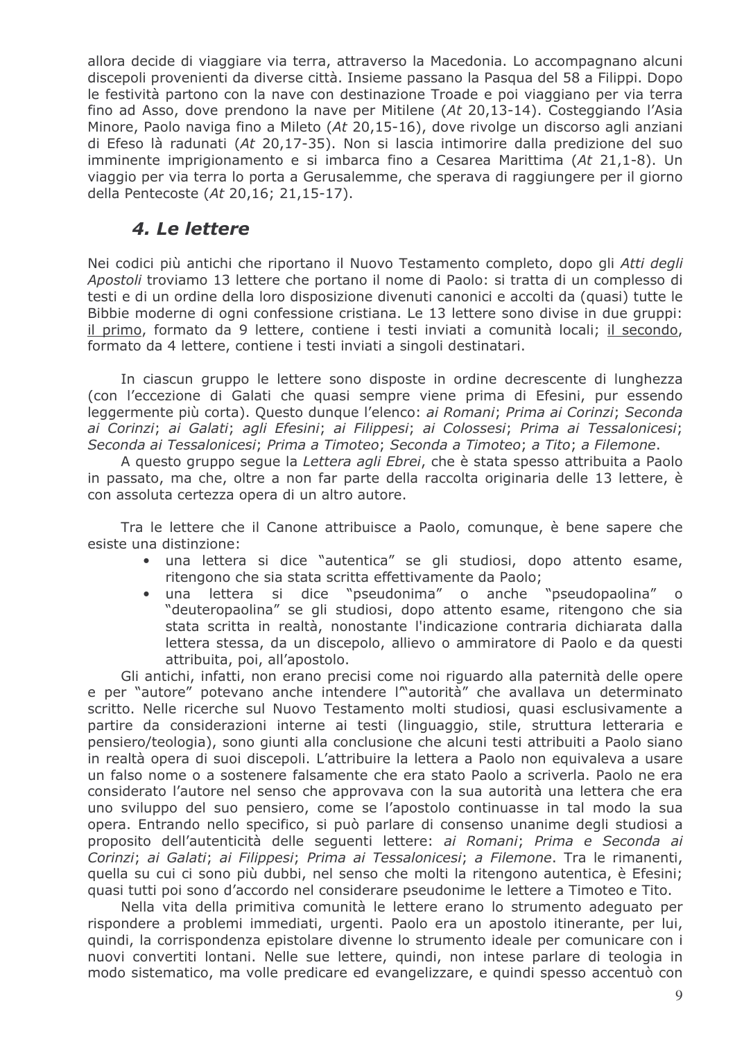allora decide di viaggiare via terra, attraverso la Macedonia. Lo accompagnano alcuni discepoli provenienti da diverse città. Insieme passano la Pasqua del 58 a Filippi. Dopo le festività partono con la nave con destinazione Troade e poi viaggiano per via terra fino ad Asso, dove prendono la nave per Mitilene (At 20,13-14). Costeggiando l'Asia Minore, Paolo naviga fino a Mileto (At 20,15-16), dove rivolge un discorso agli anziani di Efeso là radunati (At 20,17-35). Non si lascia intimorire dalla predizione del suo imminente imprigionamento e si imbarca fino a Cesarea Marittima (At 21,1-8). Un viaggio per via terra lo porta a Gerusalemme, che sperava di raggiungere per il giorno della Pentecoste (At 20,16; 21,15-17).

# 4. Le lettere

Nei codici più antichi che riportano il Nuovo Testamento completo, dopo gli Atti degli Apostoli troviamo 13 lettere che portano il nome di Paolo: si tratta di un complesso di testi e di un ordine della loro disposizione divenuti canonici e accolti da (quasi) tutte le Bibbie moderne di ogni confessione cristiana. Le 13 lettere sono divise in due gruppi: il primo, formato da 9 lettere, contiene i testi inviati a comunità locali; il secondo, formato da 4 lettere, contiene i testi inviati a singoli destinatari.

In ciascun gruppo le lettere sono disposte in ordine decrescente di lunghezza (con l'eccezione di Galati che quasi sempre viene prima di Efesini, pur essendo leggermente più corta). Questo dungue l'elenco: ai Romani; Prima ai Corinzi; Seconda ai Corinzi; ai Galati; agli Efesini; ai Filippesi; ai Colossesi; Prima ai Tessalonicesi; Seconda ai Tessalonicesi; Prima a Timoteo; Seconda a Timoteo; a Tito; a Filemone.

A questo gruppo segue la Lettera agli Ebrei, che è stata spesso attribuita a Paolo in passato, ma che, oltre a non far parte della raccolta originaria delle 13 lettere, è con assoluta certezza opera di un altro autore.

Tra le lettere che il Canone attribuisce a Paolo, comunque, è bene sapere che esiste una distinzione:

- · una lettera si dice "autentica" se gli studiosi, dopo attento esame, ritengono che sia stata scritta effettivamente da Paolo;
- una lettera si dice "pseudonima" o anche "pseudopaolina"  $\Omega$ "deuteropaolina" se gli studiosi, dopo attento esame, ritengono che sia stata scritta in realtà, nonostante l'indicazione contraria dichiarata dalla lettera stessa, da un discepolo, allievo o ammiratore di Paolo e da questi attribuita, poi, all'apostolo.

Gli antichi, infatti, non erano precisi come noi riguardo alla paternità delle opere e per "autore" potevano anche intendere l"autorità" che avallava un determinato scritto. Nelle ricerche sul Nuovo Testamento molti studiosi, quasi esclusivamente a partire da considerazioni interne ai testi (linguaggio, stile, struttura letteraria e pensiero/teologia), sono giunti alla conclusione che alcuni testi attribuiti a Paolo siano in realtà opera di suoi discepoli. L'attribuire la lettera a Paolo non equivaleva a usare un falso nome o a sostenere falsamente che era stato Paolo a scriverla. Paolo ne era considerato l'autore nel senso che approvava con la sua autorità una lettera che era uno sviluppo del suo pensiero, come se l'apostolo continuasse in tal modo la sua opera. Entrando nello specifico, si può parlare di consenso unanime degli studiosi a proposito dell'autenticità delle sequenti lettere: ai Romani; Prima e Seconda ai Corinzi; ai Galati; ai Filippesi; Prima ai Tessalonicesi; a Filemone. Tra le rimanenti, quella su cui ci sono più dubbi, nel senso che molti la ritengono autentica, è Efesini; guasi tutti poi sono d'accordo nel considerare pseudonime le lettere a Timoteo e Tito.

Nella vita della primitiva comunità le lettere erano lo strumento adequato per rispondere a problemi immediati, urgenti. Paolo era un apostolo itinerante, per lui, guindi, la corrispondenza epistolare divenne lo strumento ideale per comunicare con i nuovi convertiti lontani. Nelle sue lettere, quindi, non intese parlare di teologia in modo sistematico, ma volle predicare ed evangelizzare, e quindi spesso accentuò con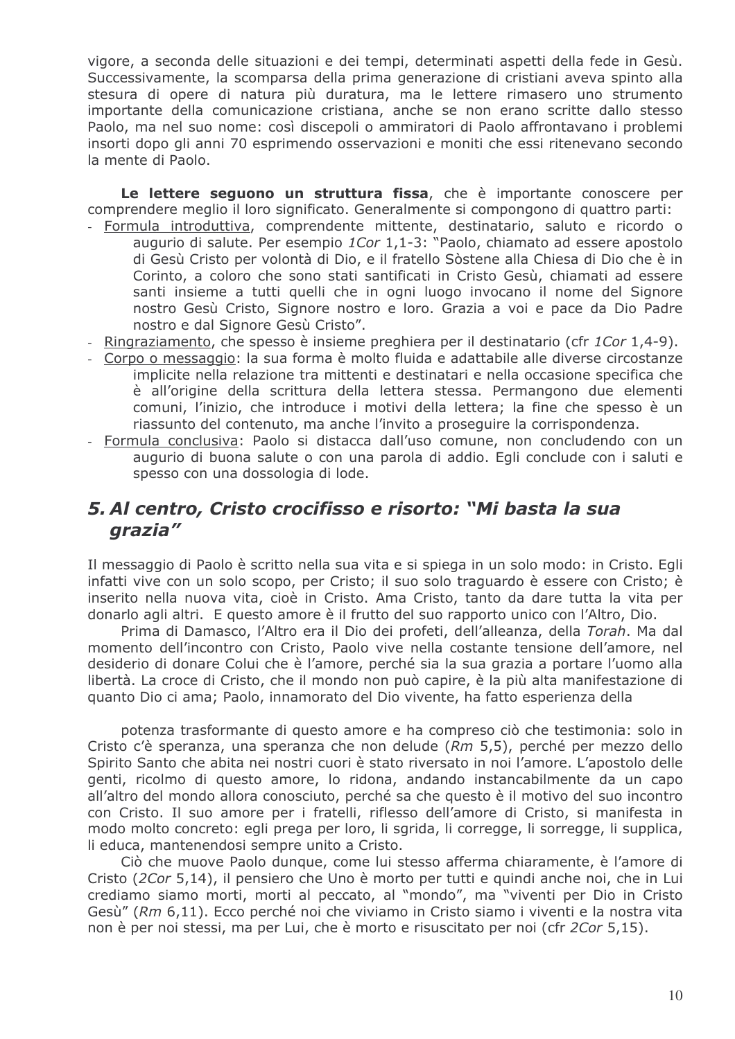vigore, a seconda delle situazioni e dei tempi, determinati aspetti della fede in Gesù. Successivamente, la scomparsa della prima generazione di cristiani aveva spinto alla stesura di opere di natura più duratura, ma le lettere rimasero uno strumento importante della comunicazione cristiana, anche se non erano scritte dallo stesso Paolo, ma nel suo nome: così discepoli o ammiratori di Paolo affrontavano i problemi insorti dopo gli anni 70 esprimendo osservazioni e moniti che essi ritenevano secondo la mente di Paolo.

Le lettere seguono un struttura fissa, che è importante conoscere per comprendere meglio il loro significato. Generalmente si compongono di quattro parti:

- Formula introduttiva, comprendente mittente, destinatario, saluto e ricordo o augurio di salute. Per esempio 1Cor 1,1-3: "Paolo, chiamato ad essere apostolo di Gesù Cristo per volontà di Dio, e il fratello Sòstene alla Chiesa di Dio che è in Corinto, a coloro che sono stati santificati in Cristo Gesù, chiamati ad essere santi insieme a tutti quelli che in ogni luogo invocano il nome del Signore nostro Gesù Cristo, Signore nostro e loro. Grazia a voi e pace da Dio Padre nostro e dal Signore Gesù Cristo".
- Ringraziamento, che spesso è insieme preghiera per il destinatario (cfr 1Cor 1,4-9).
- Corpo o messaggio: la sua forma è molto fluida e adattabile alle diverse circostanze implicite nella relazione tra mittenti e destinatari e nella occasione specifica che è all'origine della scrittura della lettera stessa. Permangono due elementi comuni, l'inizio, che introduce i motivi della lettera; la fine che spesso è un riassunto del contenuto, ma anche l'invito a proseguire la corrispondenza.
- Formula conclusiva: Paolo si distacca dall'uso comune, non concludendo con un augurio di buona salute o con una parola di addio. Egli conclude con i saluti e spesso con una dossologia di lode.

# 5. Al centro, Cristo crocifisso e risorto: "Mi basta la sua grazia"

Il messaggio di Paolo è scritto nella sua vita e si spiega in un solo modo: in Cristo. Egli infatti vive con un solo scopo, per Cristo; il suo solo traguardo è essere con Cristo; è inserito nella nuova vita, cioè in Cristo. Ama Cristo, tanto da dare tutta la vita per donarlo agli altri. E questo amore è il frutto del suo rapporto unico con l'Altro, Dio.

Prima di Damasco, l'Altro era il Dio dei profeti, dell'alleanza, della Torah. Ma dal momento dell'incontro con Cristo, Paolo vive nella costante tensione dell'amore, nel desiderio di donare Colui che è l'amore, perché sia la sua grazia a portare l'uomo alla libertà. La croce di Cristo, che il mondo non può capire, è la più alta manifestazione di guanto Dio ci ama; Paolo, innamorato del Dio vivente, ha fatto esperienza della

potenza trasformante di questo amore e ha compreso ciò che testimonia: solo in Cristo c'è speranza, una speranza che non delude (Rm 5,5), perché per mezzo dello Spirito Santo che abita nei nostri cuori è stato riversato in noi l'amore. L'apostolo delle genti, ricolmo di questo amore, lo ridona, andando instancabilmente da un capo all'altro del mondo allora conosciuto, perché sa che questo è il motivo del suo incontro con Cristo. Il suo amore per i fratelli, riflesso dell'amore di Cristo, si manifesta in modo molto concreto: egli prega per loro, li sgrida, li corregge, li sorregge, li supplica, li educa, mantenendosi sempre unito a Cristo.

Ciò che muove Paolo dungue, come lui stesso afferma chiaramente, è l'amore di Cristo (2Cor 5,14), il pensiero che Uno è morto per tutti e quindi anche noi, che in Lui crediamo siamo morti, morti al peccato, al "mondo", ma "viventi per Dio in Cristo Gesù" (Rm 6.11). Ecco perché noi che viviamo in Cristo siamo i viventi e la nostra vita non è per noi stessi, ma per Lui, che è morto e risuscitato per noi (cfr 2Cor 5.15).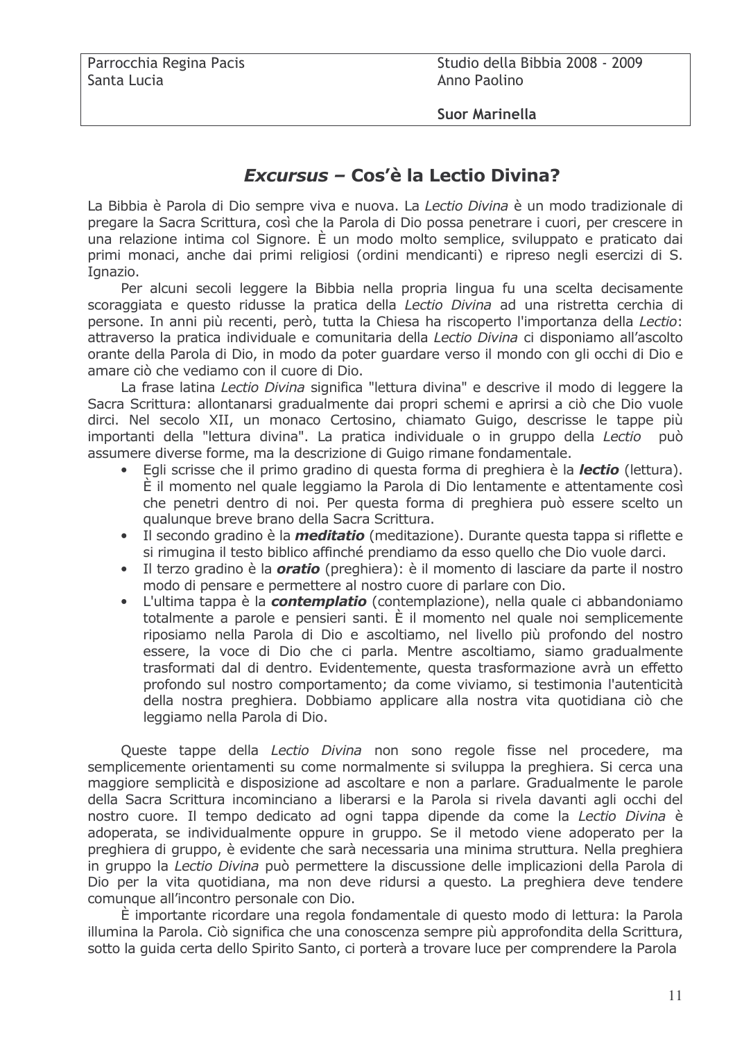**Suor Marinella** 

# **Excursus - Cos'è la Lectio Divina?**

La Bibbia è Parola di Dio sempre viva e nuova. La Lectio Divina è un modo tradizionale di pregare la Sacra Scrittura, così che la Parola di Dio possa penetrare i cuori, per crescere in una relazione intima col Signore. È un modo molto semplice, sviluppato e praticato dai primi monaci, anche dai primi religiosi (ordini mendicanti) e ripreso negli esercizi di S. Ignazio.

Per alcuni secoli leggere la Bibbia nella propria lingua fu una scelta decisamente scoraggiata e questo ridusse la pratica della Lectio Divina ad una ristretta cerchia di persone. In anni più recenti, però, tutta la Chiesa ha riscoperto l'importanza della Lectio: attraverso la pratica individuale e comunitaria della Lectio Divina ci disponiamo all'ascolto orante della Parola di Dio, in modo da poter guardare verso il mondo con gli occhi di Dio e amare ciò che vediamo con il cuore di Dio.

La frase latina Lectio Divina significa "lettura divina" e descrive il modo di leggere la Sacra Scrittura: allontanarsi gradualmente dai propri schemi e aprirsi a ciò che Dio vuole dirci. Nel secolo XII, un monaco Certosino, chiamato Guigo, descrisse le tappe più importanti della "lettura divina". La pratica individuale o in gruppo della Lectio può assumere diverse forme, ma la descrizione di Guigo rimane fondamentale.

- Egli scrisse che il primo gradino di guesta forma di preghiera è la **lectio** (lettura). È il momento nel quale leggiamo la Parola di Dio lentamente e attentamente così che penetri dentro di noi. Per questa forma di preghiera può essere scelto un qualunque breve brano della Sacra Scrittura.
- Il secondo gradino è la *meditatio* (meditazione). Durante questa tappa si riflette e  $\bullet$ si rimugina il testo biblico affinché prendiamo da esso quello che Dio vuole darci.
- Il terzo gradino è la *oratio* (preghiera): è il momento di lasciare da parte il nostro  $\bullet$ modo di pensare e permettere al nostro cuore di parlare con Dio.
- L'ultima tappa è la *contemplatio* (contemplazione), nella quale ci abbandoniamo  $\bullet$ totalmente a parole e pensieri santi. È il momento nel quale noi semplicemente riposiamo nella Parola di Dio e ascoltiamo, nel livello più profondo del nostro essere, la voce di Dio che ci parla. Mentre ascoltiamo, siamo gradualmente trasformati dal di dentro. Evidentemente, questa trasformazione avrà un effetto profondo sul nostro comportamento; da come viviamo, si testimonia l'autenticità della nostra preghiera. Dobbiamo applicare alla nostra vita quotidiana ciò che leggiamo nella Parola di Dio.

Queste tappe della Lectio Divina non sono regole fisse nel procedere, ma semplicemente orientamenti su come normalmente si sviluppa la preghiera. Si cerca una maggiore semplicità e disposizione ad ascoltare e non a parlare. Gradualmente le parole della Sacra Scrittura incominciano a liberarsi e la Parola si rivela davanti agli occhi del nostro cuore. Il tempo dedicato ad ogni tappa dipende da come la Lectio Divina è adoperata, se individualmente oppure in gruppo. Se il metodo viene adoperato per la preghiera di gruppo, è evidente che sarà necessaria una minima struttura. Nella preghiera in gruppo la Lectio Divina può permettere la discussione delle implicazioni della Parola di Dio per la vita quotidiana, ma non deve ridursi a questo. La preghiera deve tendere comunque all'incontro personale con Dio.

È importante ricordare una regola fondamentale di questo modo di lettura: la Parola illumina la Parola. Ciò significa che una conoscenza sempre più approfondita della Scrittura, sotto la guida certa dello Spirito Santo, ci porterà a trovare luce per comprendere la Parola